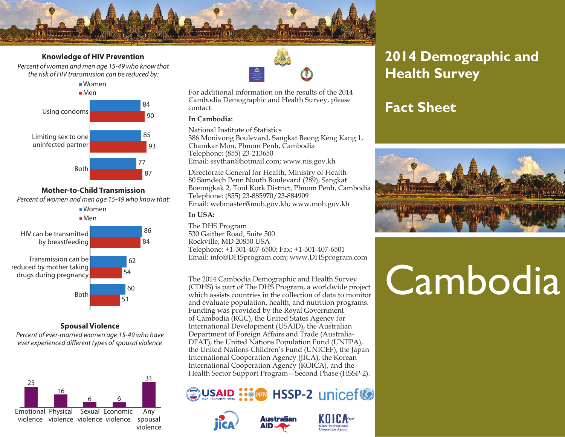

#### **Knowledge of HIV Prevention**

*Percent of women and men age 15-49 who know that the risk of HIV transmission can be reduced by:* 



**Mother-to-Child Transmission** *Percent of women and men age 15-49 who know that:* 



**Spousal Violence**

*Percent of ever-married women age 15-49 who have ever experienced different types of spousal violence*





For additional information on the results of the 2014 Cambodia Demographic and Health Survey, please contact:

#### **In Cambodia:**

National Institute of Statistics

386 Monivong Boulevard, Sangkat Beong Keng Kang 1, Chamkar Mon, Phnom Penh, Cambodia Telephone: (855) 23-213650 Email: ssythan@hotmail.com; www.nis.gov.kh

Directorate General for Health, Ministry of Health 80 Samdech Penn Nouth Boulevard (289), Sangkat Boeungkak 2, Toul Kork District, Phnom Penh, Cambodia Telephone: (855) 23-885970/23-884909 Email: webmaster@moh.gov.kh; www.moh.gov.kh

#### **In USA:**

The DHS Program 530 Gaither Road, Suite 500 Rockville, MD 20850 USA Telephone: +1-301-407-6500; Fax: +1-301-407-6501 Email: info@DHSprogram.com; www.DHSprogram.com

(CDHS) is part of The DHS Program, a worldwide project which assists countries in the collection of data to monitor and evaluate population, health, and nutrition programs. Funding was provided by the Royal Government of Cambodia (RGC), the United States Agency for International Development (USAID), the Australian Department of Foreign Affairs and Trade (Australia-DFAT), the United Nations Population Fund (UNFPA), the United Nations Children's Fund (UNICEF), the Japan International Cooperation Agency (JICA), the Korean International Cooperation Agency (KOICA), and the Health Sector Support Program—Second Phase (HSSP-2).







# **2014 Demographic and Health Survey**

## **Fact Sheet**



# The 2014 Cambodia Demographic and Health Survey<br>(CDHS) is part of The DHS Program, a worldwide project<br>which project